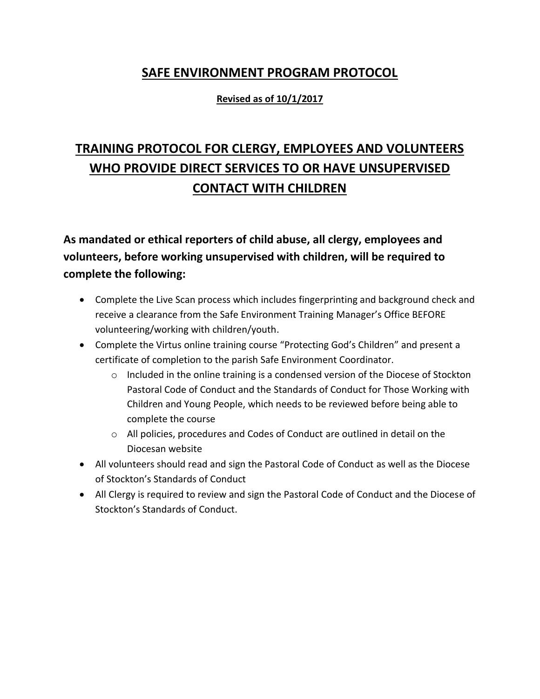## **SAFE ENVIRONMENT PROGRAM PROTOCOL**

## **Revised as of 10/1/2017**

## **TRAINING PROTOCOL FOR CLERGY, EMPLOYEES AND VOLUNTEERS WHO PROVIDE DIRECT SERVICES TO OR HAVE UNSUPERVISED CONTACT WITH CHILDREN**

**As mandated or ethical reporters of child abuse, all clergy, employees and volunteers, before working unsupervised with children, will be required to complete the following:**

- Complete the Live Scan process which includes fingerprinting and background check and receive a clearance from the Safe Environment Training Manager's Office BEFORE volunteering/working with children/youth.
- Complete the Virtus online training course "Protecting God's Children" and present a certificate of completion to the parish Safe Environment Coordinator.
	- $\circ$  Included in the online training is a condensed version of the Diocese of Stockton Pastoral Code of Conduct and the Standards of Conduct for Those Working with Children and Young People, which needs to be reviewed before being able to complete the course
	- $\circ$  All policies, procedures and Codes of Conduct are outlined in detail on the Diocesan website
- All volunteers should read and sign the Pastoral Code of Conduct as well as the Diocese of Stockton's Standards of Conduct
- All Clergy is required to review and sign the Pastoral Code of Conduct and the Diocese of Stockton's Standards of Conduct.